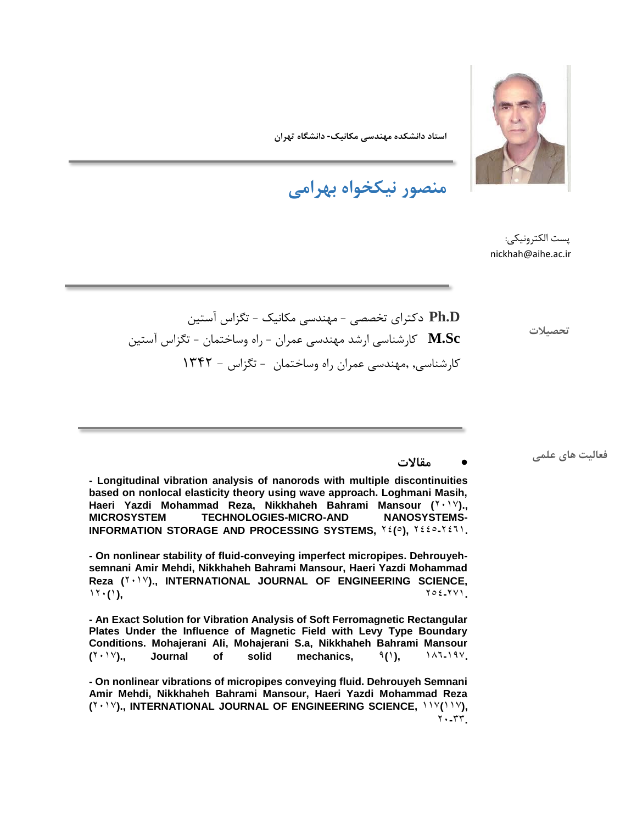

**استاد دانشکده مهندسی مکانیک- دانشگاه تهران**

**منصور نیکخواه بهرامی**

پست الکترونیکی: nickhah@aihe.ac.ir

**تحصیالت**

**D.Ph** دکترای تخصصی - مهندسی مکانیک - تگزاس آستین **Sc.M** کارشناسی ارشد مهندسی عمران - راه وساختمان - تگزاس آستین کارشناسی, ,مهندسی عمران راه وساختمان - تگزاس - 1342

**- Longitudinal vibration analysis of nanorods with multiple discontinuities based on nonlocal elasticity theory using wave approach. Loghmani Masih, Haeri Yazdi Mohammad Reza, Nikkhaheh Bahrami Mansour (** $Y \cdot Y$ **). MICROSYSTEM TECHNOLOGIES-MICRO-AND NANOSYSTEMS-INFORMATION STORAGE AND PROCESSING SYSTEMS,**  $Y\epsilon(e)$ **,**  $Y\epsilon i\epsilon I\epsilon V$ **.** 

**- On nonlinear stability of fluid-conveying imperfect micropipes. Dehrouyehsemnani Amir Mehdi, Nikkhaheh Bahrami Mansour, Haeri Yazdi Mohammad Reza (**2017**)., INTERNATIONAL JOURNAL OF ENGINEERING SCIENCE,**  11.(1),  $\gamma \circ \epsilon$ -171

**- An Exact Solution for Vibration Analysis of Soft Ferromagnetic Rectangular Plates Under the Influence of Magnetic Field with Levy Type Boundary Conditions. Mohajerani Ali, Mohajerani S.a, Nikkhaheh Bahrami Mansour**   $(Y \cdot Y)$ ., Journal of solid mechanics,  $(1)$ ,  $(1)$ ,  $(1)$ ,  $(2)$ ,  $(3)$ 

**- On nonlinear vibrations of micropipes conveying fluid. Dehrouyeh Semnani Amir Mehdi, Nikkhaheh Bahrami Mansour, Haeri Yazdi Mohammad Reza (**2017**)., INTERNATIONAL JOURNAL OF ENGINEERING SCIENCE,** 117**(**117**),**  20**-**33**.**

**مقاالت فعالیت های علمی**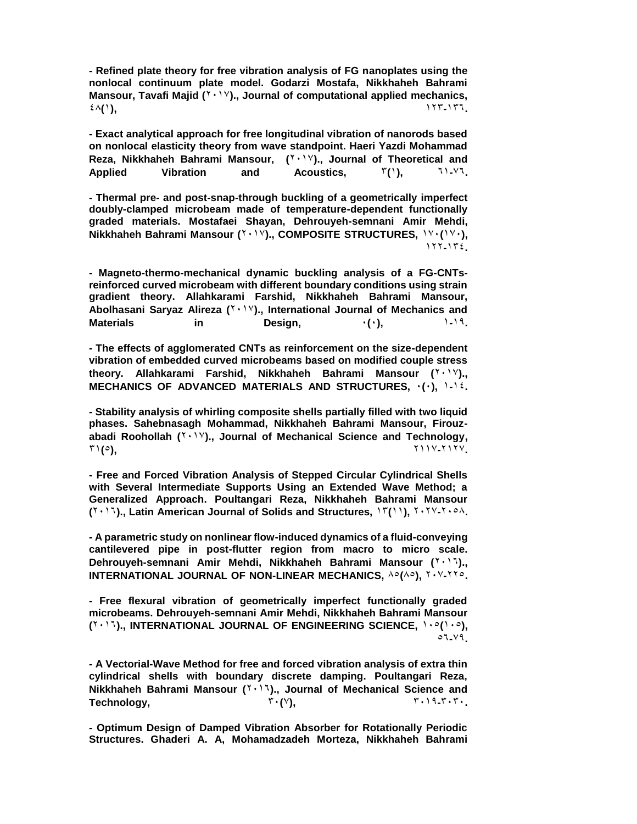**- Refined plate theory for free vibration analysis of FG nanoplates using the nonlocal continuum plate model. Godarzi Mostafa, Nikkhaheh Bahrami Mansour, Tavafi Majid (Y · 1Y)., Journal of computational applied mechanics,**  $\mathcal{L}(\lambda)$ , 1237-1377, 1238.

**- Exact analytical approach for free longitudinal vibration of nanorods based on nonlocal elasticity theory from wave standpoint. Haeri Yazdi Mohammad**  Reza, Nikkhaheh Bahrami Mansour, (<sup>1,11</sup>)., Journal of Theoretical and **Applied Vibration and Acoustics,** 3**(**1**),** 61**-**76**.**

**- Thermal pre- and post-snap-through buckling of a geometrically imperfect doubly-clamped microbeam made of temperature-dependent functionally graded materials. Mostafaei Shayan, Dehrouyeh-semnani Amir Mehdi, Nikkhaheh Bahrami Mansour (Y · 1Y)., COMPOSITE STRUCTURES, 1Y · (1Y · ),** 122**-**134**.**

**- Magneto-thermo-mechanical dynamic buckling analysis of a FG-CNTsreinforced curved microbeam with different boundary conditions using strain gradient theory. Allahkarami Farshid, Nikkhaheh Bahrami Mansour,**  Abolhasani Saryaz Alireza (<sup>Y . \ V</sup>)., International Journal of Mechanics and **Materials in Design,** 0**(**0**),** 1**-**19**.**

**- The effects of agglomerated CNTs as reinforcement on the size-dependent vibration of embedded curved microbeams based on modified couple stress theory. Allahkarami Farshid, Nikkhaheh Bahrami Mansour (** $Y \cdot Y$ **)., MECHANICS OF ADVANCED MATERIALS AND STRUCTURES,** 0**(**0**),** 1**-**14**.**

**- Stability analysis of whirling composite shells partially filled with two liquid phases. Sahebnasagh Mohammad, Nikkhaheh Bahrami Mansour, Firouz**abadi Roohollah (<sup>Y . \ V</sup>)., Journal of Mechanical Science and Technology, 31**(**5**),** 2117**-**2127**.**

**- Free and Forced Vibration Analysis of Stepped Circular Cylindrical Shells with Several Intermediate Supports Using an Extended Wave Method; a Generalized Approach. Poultangari Reza, Nikkhaheh Bahrami Mansour (**2016**)., Latin American Journal of Solids and Structures,** 13**(**11**),** 2027**-**2058**.**

**- A parametric study on nonlinear flow-induced dynamics of a fluid-conveying cantilevered pipe in post-flutter region from macro to micro scale. Dehrouyeh-semnani Amir Mehdi, Nikkhaheh Bahrami Mansour (**2016**)., INTERNATIONAL JOURNAL OF NON-LINEAR MECHANICS,**  $\wedge \circ (\wedge \circ)$ **,**  $\vee \wedge \vee \vee \vee \vee$ **.** 

**- Free flexural vibration of geometrically imperfect functionally graded microbeams. Dehrouyeh-semnani Amir Mehdi, Nikkhaheh Bahrami Mansour (**2016**)., INTERNATIONAL JOURNAL OF ENGINEERING SCIENCE,** 105**(**105**),**  56**-**79**.**

**- A Vectorial-Wave Method for free and forced vibration analysis of extra thin cylindrical shells with boundary discrete damping. Poultangari Reza, Nikkhaheh Bahrami Mansour (**2016**)., Journal of Mechanical Science and Technology,** 30**(**7**),** 3019**-**3030**.**

**- Optimum Design of Damped Vibration Absorber for Rotationally Periodic Structures. Ghaderi A. A, Mohamadzadeh Morteza, Nikkhaheh Bahrami**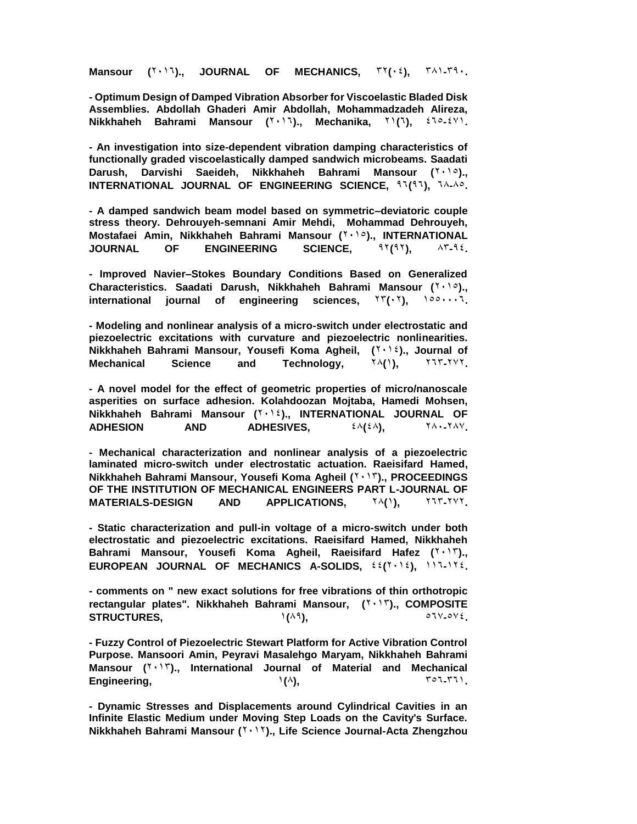**Mansour**  $(Y \cdot Y)$ , JOURNAL OF MECHANICS,  $Y Y (Y \cdot \zeta)$ ,  $Y \wedge Y Y \cdot \zeta$ 

**- Optimum Design of Damped Vibration Absorber for Viscoelastic Bladed Disk Assemblies. Abdollah Ghaderi Amir Abdollah, Mohammadzadeh Alireza, Nikkhaheh Bahrami Mansour (**2016**)., Mechanika,** 21**(**6**),** 465**-**471**.**

**- An investigation into size-dependent vibration damping characteristics of functionally graded viscoelastically damped sandwich microbeams. Saadati**  Darush, Darvishi Saeideh, Nikkhaheh Bahrami Mansour ( $\forall \cdot$ )., **INTERNATIONAL JOURNAL OF ENGINEERING SCIENCE. 97(97), 7A-Ap.** 

**- A damped sandwich beam model based on symmetric–deviatoric couple stress theory. Dehrouyeh-semnani Amir Mehdi, Mohammad Dehrouyeh, Mostafaei Amin, Nikkhaheh Bahrami Mansour (7, 10)., INTERNATIONAL JOURNAL OF ENGINEERING SCIENCE, 92(92), AT-92.** 

**- Improved Navier–Stokes Boundary Conditions Based on Generalized Characteristics. Saadati Darush, Nikkhaheh Bahrami Mansour (** $Y \cdot 10$ **).,** international journal of engineering sciences,  $\Upsilon\Upsilon(\cdot \Upsilon)$ ,  $\Upsilon^{\circ} \circ \cdots \Upsilon$ .

**- Modeling and nonlinear analysis of a micro-switch under electrostatic and piezoelectric excitations with curvature and piezoelectric nonlinearities. Nikkhaheh Bahrami Mansour, Yousefi Koma Agheil, (Yournal xanging of all and Agne and Agne and Agne and Agne and A Mechanical Science and Technology,**  $\gamma \wedge (\gamma)$ ,  $\gamma \vee \gamma \vee \gamma$ .

**- A novel model for the effect of geometric properties of micro/nanoscale asperities on surface adhesion. Kolahdoozan Mojtaba, Hamedi Mohsen, Nikkhaheh Bahrami Mansour (**2014**)., INTERNATIONAL JOURNAL OF ADHESION** AND ADHESIVES,  $\mathcal{L}(\mathcal{L}(\lambda))$ ,  $\mathcal{L}(\lambda) \sim \mathcal{L}(\lambda) \sim \mathcal{L}(\lambda)$ 

**- Mechanical characterization and nonlinear analysis of a piezoelectric laminated micro-switch under electrostatic actuation. Raeisifard Hamed, Nikkhaheh Bahrami Mansour, Yousefi Koma Agheil (**2013**)., PROCEEDINGS OF THE INSTITUTION OF MECHANICAL ENGINEERS PART L-JOURNAL OF MATERIALS-DESIGN AND APPLICATIONS,** 28**(**1**),** 263**-**272**.**

**- Static characterization and pull-in voltage of a micro-switch under both electrostatic and piezoelectric excitations. Raeisifard Hamed, Nikkhaheh**  Bahrami Mansour, Yousefi Koma Agheil, Raeisifard Hafez (Your)., **EUROPEAN JOURNAL OF MECHANICS A-SOLIDS,** 44**(**2014**),** 116**-**124**.**

**- comments on " new exact solutions for free vibrations of thin orthotropic rectangular plates". Nikkhaheh Bahrami Mansour, (**2013**)., COMPOSITE STRUCTURES,** 1**(**89**),** 567**-**574**.**

**- Fuzzy Control of Piezoelectric Stewart Platform for Active Vibration Control Purpose. Mansoori Amin, Peyravi Masalehgo Maryam, Nikkhaheh Bahrami Mansour (**2013**)., International Journal of Material and Mechanical Engineering,**  $\qquad \qquad \qquad$   $\qquad \qquad$   $\qquad \qquad$   $\qquad \qquad$   $\qquad$   $\qquad$   $\qquad$   $\qquad$   $\qquad$   $\qquad$   $\qquad$   $\qquad$   $\qquad$   $\qquad$   $\qquad$   $\qquad$   $\qquad$   $\qquad$   $\qquad$   $\qquad$   $\qquad$   $\qquad$   $\qquad$   $\qquad$   $\qquad$   $\qquad$   $\qquad$   $\qquad$   $\qquad$   $\qquad$   $\qquad$   $\qquad$ 

**- Dynamic Stresses and Displacements around Cylindrical Cavities in an Infinite Elastic Medium under Moving Step Loads on the Cavity's Surface. Nikkhaheh Bahrami Mansour (**2012**)., Life Science Journal-Acta Zhengzhou**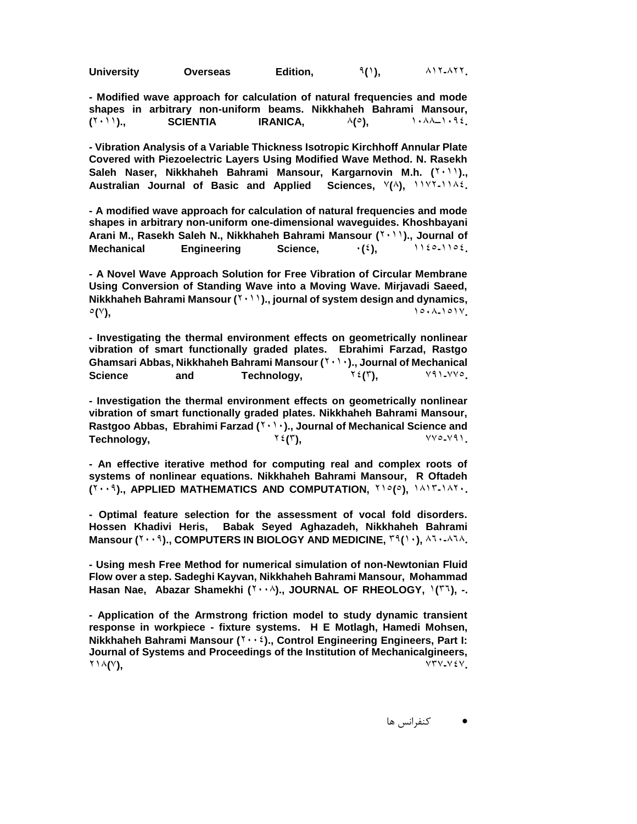| <b>University</b> | <b>Overseas</b> | Edition, | $\mathcal{P}(1)$ , | $\lambda$ $\lambda$ $\lambda$ $\lambda$ $\lambda$ $\lambda$ $\lambda$ |
|-------------------|-----------------|----------|--------------------|-----------------------------------------------------------------------|
|-------------------|-----------------|----------|--------------------|-----------------------------------------------------------------------|

**- Modified wave approach for calculation of natural frequencies and mode shapes in arbitrary non-uniform beams. Nikkhaheh Bahrami Mansour, (** $Y \cdot Y$ )., **SCIENTIA** IRANICA,  $A(\circ)$ ,  $Y \cdot A \cdot A - Y \cdot B \cdot E$ .

**- Vibration Analysis of a Variable Thickness Isotropic Kirchhoff Annular Plate Covered with Piezoelectric Layers Using Modified Wave Method. N. Rasekh**  Saleh Naser, Nikkhaheh Bahrami Mansour, Kargarnovin M.h. (<sup>111</sup>)., **Australian Journal of Basic and Applied Sciences,** 7**(**8**),** 1172**-**1184**.**

**- A modified wave approach for calculation of natural frequencies and mode shapes in arbitrary non-uniform one-dimensional waveguides. Khoshbayani**  Arani M., Rasekh Saleh N., Nikkhaheh Bahrami Mansour (<sup>1,11</sup>)., Journal of **Mechanical** Engineering Science,  $\cdot$   $(2)$ ,  $\cdot$   $(2)$ ,  $(2)$ 

**- A Novel Wave Approach Solution for Free Vibration of Circular Membrane Using Conversion of Standing Wave into a Moving Wave. Mirjavadi Saeed, Nikkhaheh Bahrami Mansour (1001)., journal of system design and dynamics,** 5**(**7**),** 1508**-**1517**.**

**- Investigating the thermal environment effects on geometrically nonlinear vibration of smart functionally graded plates. Ebrahimi Farzad, Rastgo Ghamsari Abbas, Nikkhaheh Bahrami Mansour (**2010**)., Journal of Mechanical Science** and Technology,  $Y \in (Y)$ ,  $Y \in (Y) \times (Y) \times (Y)$ 

**- Investigation the thermal environment effects on geometrically nonlinear vibration of smart functionally graded plates. Nikkhaheh Bahrami Mansour,**  Rastgoo Abbas, Ebrahimi Farzad (<sup>1, 1</sup>)., Journal of Mechanical Science and **Technology,**  $Y \in (Y)$ ,  $Y \in Y \cap Y$ 

**- An effective iterative method for computing real and complex roots of systems of nonlinear equations. Nikkhaheh Bahrami Mansour, R Oftadeh (**2009**)., APPLIED MATHEMATICS AND COMPUTATION,** 215**(**5**),** 1813**-**1820**.**

**- Optimal feature selection for the assessment of vocal fold disorders. Hossen Khadivi Heris, Babak Seyed Aghazadeh, Nikkhaheh Bahrami Mansour (** $\gamma \cdot \cdot \beta$ **)., COMPUTERS IN BIOLOGY AND MEDICINE,**  $\gamma \beta$ **() ·),**  $\lambda \gamma \cdot 2\lambda \lambda$ **.** 

**- Using mesh Free Method for numerical simulation of non-Newtonian Fluid Flow over a step. Sadeghi Kayvan, Nikkhaheh Bahrami Mansour, Mohammad**  Hasan Nae, Abazar Shamekhi (<sup>1,,</sup>), JOURNAL OF RHEOLOGY,  $1(1, 1)$ , -.

**- Application of the Armstrong friction model to study dynamic transient response in workpiece - fixture systems. H E Motlagh, Hamedi Mohsen, Nikkhaheh Bahrami Mansour (Yoong). Control Engineering Engineers, Part I: Journal of Systems and Proceedings of the Institution of Mechanicalgineers,**  218**(**7**),** 737**-**747**.**

کنفرانس ها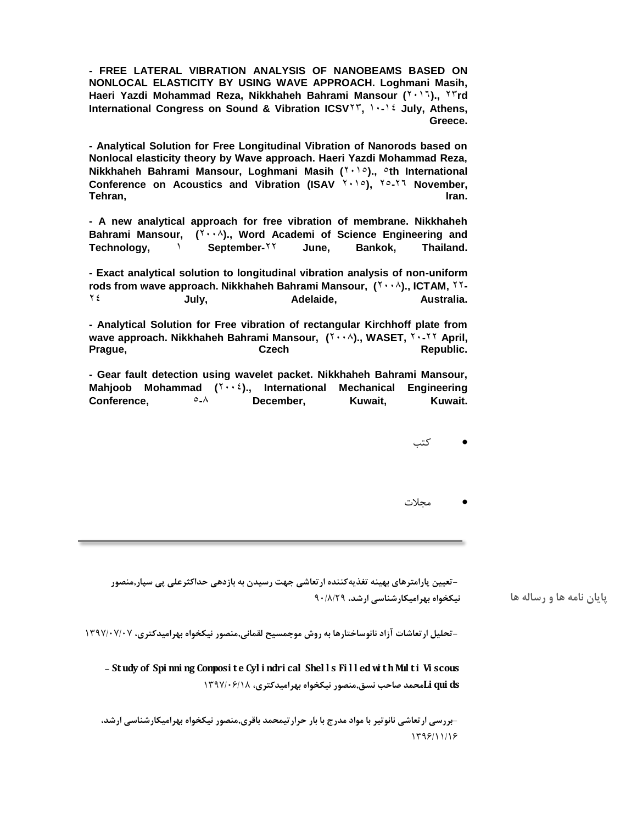**- FREE LATERAL VIBRATION ANALYSIS OF NANOBEAMS BASED ON NONLOCAL ELASTICITY BY USING WAVE APPROACH. Loghmani Masih, Haeri Yazdi Mohammad Reza, Nikkhaheh Bahrami Mansour (**2016**).,** 23**rd**  International Congress on Sound & Vibration ICSV<sup>YY</sup>, 10-12 July, Athens, **Greece.**

**- Analytical Solution for Free Longitudinal Vibration of Nanorods based on Nonlocal elasticity theory by Wave approach. Haeri Yazdi Mohammad Reza, Nikkhaheh Bahrami Mansour, Loghmani Masih (1000)., oth International Conference on Acoustics and Vibration (ISAV <sup>Y</sup> · 10), <sup>Yo-Y1</sup> November, Tehran, Iran.**

**- A new analytical approach for free vibration of membrane. Nikkhaheh**  Bahrami Mansour, (Y.,A)., Word Academi of Science Engineering and **Technology,** 1 **September-**22 **June, Bankok, Thailand.**

**- Exact analytical solution to longitudinal vibration analysis of non-uniform rods from wave approach. Nikkhaheh Bahrami Mansour,**  $(Y \cdot \cdot \lambda)$ **., ICTAM,**  $Y^T$ **-**24 **July, Adelaide, Australia.**

**- Analytical Solution for Free vibration of rectangular Kirchhoff plate from wave approach. Nikkhaheh Bahrami Mansour,**  $(Y \cdot \lambda)$ **., WASET,**  $Y \cdot YY$  **April,** Prague, **Czech Republic.** Czech Republic.

**- Gear fault detection using wavelet packet. Nikkhaheh Bahrami Mansour, Mahjoob Mohammad (**2004**)., International Mechanical Engineering Conference,** 5**-**8 **December, Kuwait, Kuwait.**

کتب

مجالت

**نیکخواه بهرامیکارشناسی ارشد، -**90/8/29**تعیین پارامترهای بهینه تغذیهکننده ارتعاشی جهت رسیدن به بازدهی حداکثرعلی پی سپار,منصور**

**-تحلیل ارتعاشات آزاد نانوساختارها به روش موجمسیح لقمانی,منصور نیکخواه بهرامیدکتری،** 1397/07/07

**- St udy of Spi nni ng Composi t e Cyl i ndri cal Shel l s Fi l l edwi t hMul t i Vi scous ds qui Liمحمد صاحب نسق,منصور نیکخواه بهرامیدکتری،** 1397/06/18

**-**1396/11/16**بررسی ارتعاشی نانوتیر با مواد مدرج با بار حرارتیمحمد باقری,منصور نیکخواه بهرامیکارشناسی ارشد،**

**پایان نامه ها و رساله ها**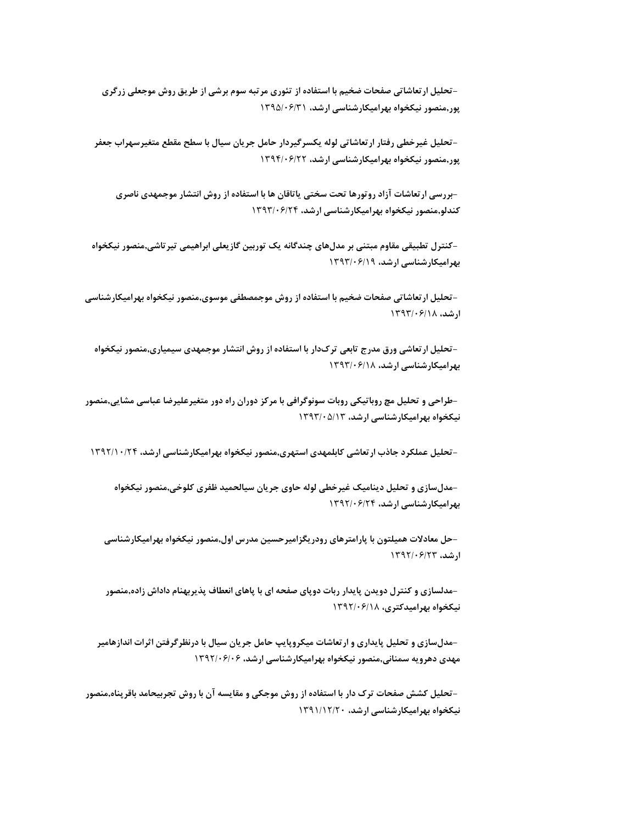**پور,منصور نیکخواه بهرامیکارشناسی ارشد، -**1395/06/31**تحلیل ارتعاشاتی صفحات ضخیم با استفاده از تئوری مرتبه سوم برشی از طریق روش موجعلی زرگری**

**پور,منصور نیکخواه بهرامیکارشناسی ارشد، -**1394/06/22**تحلیل غیرخطی رفتار ارتعاشاتی لوله یکسرگیردار حامل جریان سیال با سطح مقطع متغیرسهراب جعفر**

**کندلو,منصور نیکخواه بهرامیکارشناسی ارشد، -**1393/06/24**بررسی ارتعاشات آزاد روتورها تحت سختی یاتاقان ها با استفاده از روش انتشار موجمهدی ناصری**

**بهرامیکارشناسی ارشد، -**1393/06/19**کنترل تطبیقی مقاوم مبتنی بر مدلهای چندگانه یک توربین گازیعلی ابراهیمی تیرتاشی,منصور نیکخواه**

**ارشد، -**1393/06/18**تحلیل ارتعاشاتی صفحات ضخیم با استفاده از روش موجمصطفی موسوی,منصور نیکخواه بهرامیکارشناسی**

**بهرامیکارشناسی ارشد، -**1393/06/18**تحلیل ارتعاشی ورق مدرج تابعی ترکدار با استفاده از روش انتشار موجمهدی سیمیاری,منصور نیکخواه**

**نیکخواه بهرامیکارشناسی ارشد، -**1393/05/13**طراحی <sup>و</sup> تحلیل مچ روباتیکی روبات سونوگرافی با مرکز دوران راه دور متغیرعلیرضا عباسی مشایی,منصور**

**تحلیل عملکرد جاذب ارتعاشی کابلمهدی استهری,منصور نیکخواه بهرامیکارشناسی ارشد،** 1392/10/24

**بهرامیکارشناسی ارشد، -**1392/06/24**مدلسازی <sup>و</sup> تحلیل دینامیک غیرخطی لوله حاوی جریان سیالحمید ظفری کلوخی,منصور نیکخواه-**

**ارشد، -**1392/06/23**حل معادالت همیلتون با پارامترهای رودریگزامیرحسین مدرس اول,منصور نیکخواه بهرامیکارشناسی**

**نیکخواه بهرامیدکتری، -**1392/06/18**مدلسازی <sup>و</sup> کنترل دویدن پایدار ربات دوپای صفحه ای با پاهای انعطاف پذیربهنام داداش زاده,منصور**

**مهدی دهرویه سمنانی,منصور نیکخواه بهرامیکارشناسی ارشد، -**1392/06/06**مدلسازی <sup>و</sup> تحلیل پایداری <sup>و</sup> ارتعاشات میکروپایپ حامل جریان سیال با درنظرگرفتن اثرات اندازهامیر**

**نیکخواه بهرامیکارشناسی ارشد، -**-تحلیل کشش صفحات ترک دار با استفاده از روش موجکی و مقایسه آن با روش تجربیحامد باقرپناه,منصور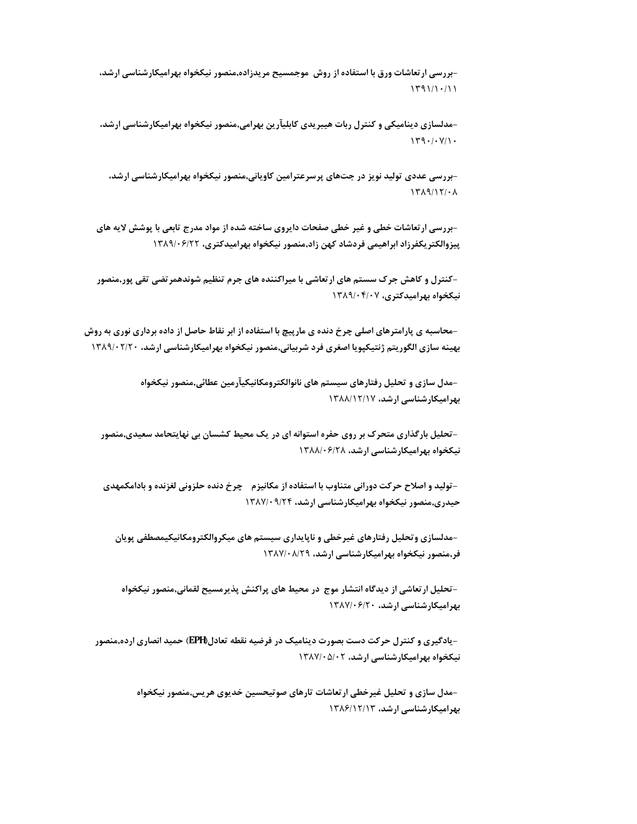**-**1391/10/11**بررسی ارتعاشات ورق با استفاده از روش موجمسیح مریدزاده,منصور نیکخواه بهرامیکارشناسی ارشد،**

**-**1390/07/10**مدلسازی دینامیکی <sup>و</sup> کنترل ربات هیبریدی کابلیآرین بهرامی,منصور نیکخواه بهرامیکارشناسی ارشد،**

**-**1389/12/08**بررسی عددی تولید نویز در جتهای پرسرعترامین کاویانی,منصور نیکخواه بهرامیکارشناسی ارشد،**

-بررسی ار تعاشات خطی و غیر خطی صفحات دایروی ساخته شده از مواد مدرج تابعی با پوشش لایه های<br>پیزوالکتریکفرزاد ابراهیمی فردشاد کهن زاد,منصور نیکخواه بهرامیدکتری، ۱۳۸۹/۰۶/۲۲

**نیکخواه بهرامیدکتری، -**1389/04/07**کنترل <sup>و</sup> کاهش جرک سستم های ارتعاشی با میراکننده های جرم تنظیم شوندهمرتضی تقی پور,منصور**

–محاسبه ی پارامترهای اصلی چرخ دنده ی مارپیچ با استفاده از ابر نقاط حاصل از داده برداری نوری به روش<br>بهینه سازی الگوریتم ژنتیکپویا اصغری فرد شربیانی,منصور نیکخواه بهرامیکارشناسی ارشد، ۱۳۸۹/۰۲/۲۰

**بهرامیکارشناسی ارشد، -**1388/12/17**مدل سازی <sup>و</sup> تحلیل رفتارهای سیستم های نانوالکترومکانیکیآرمین عطائی,منصور نیکخواه**

**نیکخواه بهرامیکارشناسی ارشد، -**1388/06/28**تحلیل بارگذاری متحرک بر روی حفره استوانه ای در یک محیط کشسان بی نهایتحامد سعیدی,منصور**

**حیدری,منصور نیکخواه بهرامیکارشناسی ارشد، -**1387/09/24**تولید <sup>و</sup> اصالح حرکت دورانی متناوب با استفاده از مکانیزم چرخ دنده حلزونی لغزنده <sup>و</sup> بادامکمهدی**

**فر,منصور نیکخواه بهرامیکارشناسی ارشد، -**1387/08/29**مدلسازی وتحلیل رفتارهای غیرخطی <sup>و</sup> ناپایداری سیستم های میکروالکترومکانیکیمصطفی پویان**

**بهرامیکارشناسی ارشد، -**1387/06/20**تحلیل ارتعاشی از دیدگاه انتشار موج در محیط های پراکنش پذیرمسیح لقمانی,منصور نیکخواه**

**نیکخواه بهرامیکارشناسی ارشد، -**-یادگیری و کنترل حرکت دست بصورت دینامیک در فرضیه نقطه تعادل(EPH) حمید انصاری ارده,منصور

> **بهرامیکارشناسی ارشد، -**1386/12/13**مدل سازی <sup>و</sup> تحلیل غیرخطی ارتعاشات تارهای صوتیحسین خدیوی هریس,منصور نیکخواه**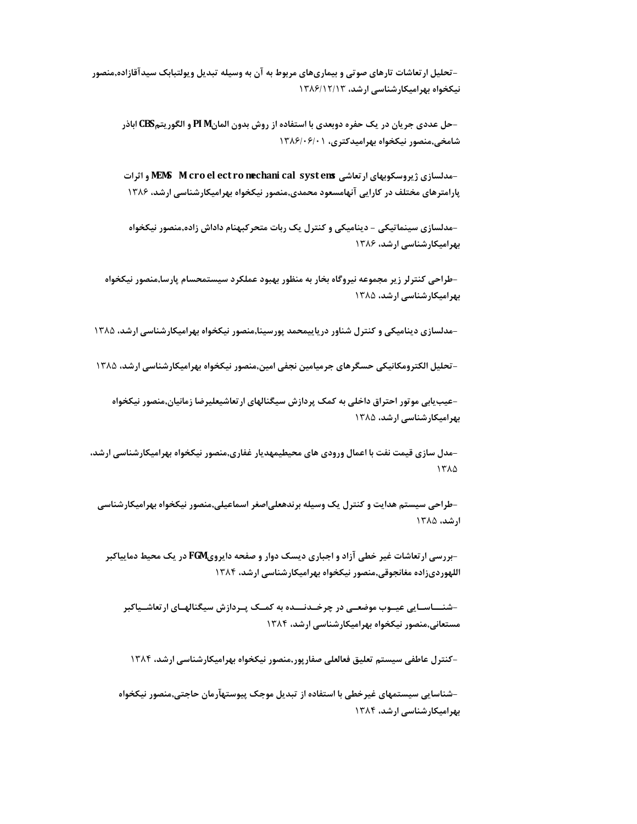**نیکخواه بهرامیکارشناسی ارشد، -**1386/12/13**تحلیل ارتعاشات تارهای صوتی <sup>و</sup> بیماریهای مربوط به آن به وسیله تبدیل ویولتبابک سیدآقازاده,منصور**

**شامخی,منصور نیکخواه بهرامیدکتری، -**1386/06/01**حل عددی جریان در یک حفره دوبعدی با استفاده از روش بدون المانM PI <sup>و</sup> الگوریتمCBS اباذر**

**پارامترهای مختلف در کارایی آنهامسعود محمدی,منصور نیکخواه بهرامیکارشناسی ارشد، -**1386**مدلسازی ژیروسکوبهای ارتعاشی ems syst cal mechani ro ect el cro Mi MEMS <sup>و</sup> اثرات**

**بهرامیکارشناسی ارشد، -**1386**مدلسازی سینماتیکی - دینامیکی <sup>و</sup> کنترل یک ربات متحرکبهنام داداش زاده,منصور نیکخواه**

**بهرامیکارشناسی ارشد، -**1385**طراحی کنترلر زیر مجموعه نیروگاه بخار به منظور بهبود عملکرد سیستمحسام پارسا,منصور نیکخواه**

-مدلسازی دینامیکی و کنترل شناور دریاییمحمد پورسینا,منصور نیکخواه بهرامیکارشناسی ارشد، ۱۳۸۵<br>-<br>-تحلیل الکترومکانیکی حسگرهای جرمیامین نجفی امین,منصور نیکخواه بهرامیکارشناسی ارشد، ۱۳۸۵

**بهرامیکارشناسی ارشد، -**1385**عیبیابی موتور احتراق داخلی به کمک پردازش سیگنالهای ارتعاشیعلیرضا زمانیان,منصور نیکخواه-**

**-**1385**مدل سازی قیمت نفت با اعمال ورودی های محیطیمهدیار غفاری,منصور نیکخواه بهرامیکارشناسی ارشد،**

**ارشد، -**1385**طراحی سیستم هدایت <sup>و</sup> کنترل یک وسیله برندهعلیاصغر اسماعیلی,منصور نیکخواه بهرامیکارشناسی**

**اللهوردیزاده مغانجوقی,منصور نیکخواه بهرامیکارشناسی ارشد، -**1384**بررسی ارتعاشات غیر خطی آزاد <sup>و</sup> اجباری دیسک دوار <sup>و</sup> صفحه دایرویFGM در یک محیط دماییاکبر**

**مستعانی,منصور نیکخواه بهرامیکارشناسی ارشد، -**1384**شنــاسـایی عیـوب موضعـی در چرخـدنــده به کمـک پـردازش سیگنالهـای ارتعاشـیاکبر**

**کنترل عاطفی سیستم تعلیق فعالعلی صفارپور,منصور نیکخواه بهرامیکارشناسی ارشد،** 1384

**بهرامیکارشناسی ارشد، -**1384**شناسایی سیستمهای غیرخطی با استفاده از تبدیل موجک پیوستهآرمان حاجتی,منصور نیکخواه-**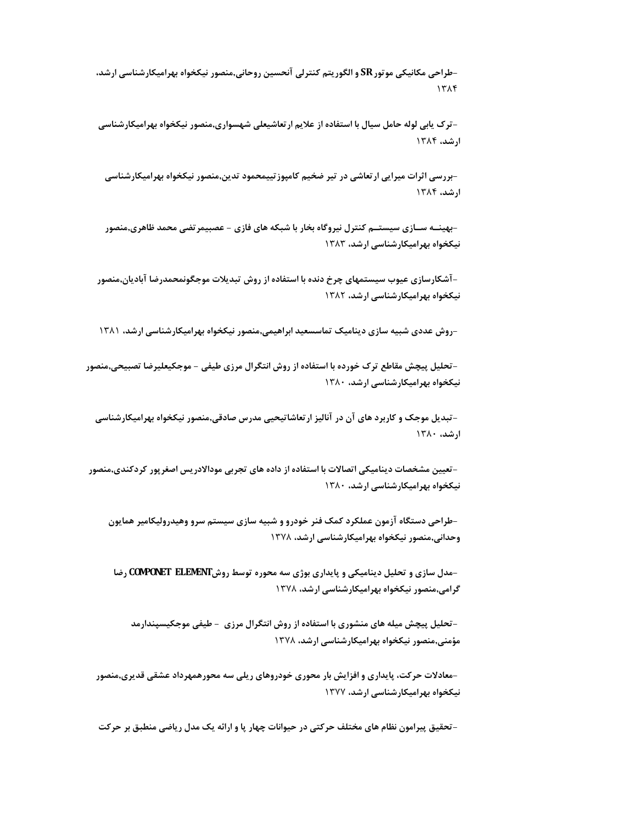**-**1384**طراحی مکانیکی موتورSR <sup>و</sup> الگوریتم کنترلی آنحسین روحانی,منصور نیکخواه بهرامیکارشناسی ارشد،**

**ارشد، -**1384**ترک یابی لوله حامل سیال با استفاده از عالیم ارتعاشیعلی شهسواری,منصور نیکخواه بهرامیکارشناسی**

**ارشد، -**1384**بررسی اثرات میرایی ارتعاشی در تیر ضخیم کامپوزتییمحمود تدین,منصور نیکخواه بهرامیکارشناسی**

**نیکخواه بهرامیکارشناسی ارشد، -**1383**بهینـه سـازی سیستـم کنترل نیروگاه بخار با شبکه های فازی - عصبیمرتضی محمد ظاهری,منصور**

**نیکخواه بهرامیکارشناسی ارشد، -**1382**آشکارسازی عیوب سیستمهای چرخ دنده با استفاده از روش تبدیالت موجگونمحمدرضا آبادیان,منصور**

**روش عددی شبیه سازی دینامیک تماسسعید ابراهیمی,منصور نیکخواه بهرامیکارشناسی ارشد،** 1381

**نیکخواه بهرامیکارشناسی ارشد، -**1380**تحلیل پیچش مقاطع ترک خورده با استفاده از روش انتگرال مرزی طیفی - موجکیعلیرضا تصبیحی,منصور-**

**ارشد، -**1380**تبدیل موجک <sup>و</sup> کاربرد های آن در آنالیز ارتعاشاتیحیی مدرس صادقی,منصور نیکخواه بهرامیکارشناسی**

**نیکخواه بهرامیکارشناسی ارشد، -**1380**تعیین مشخصات دینامیکی اتصاالت با استفاده از داده های تجربی موداالدریس اصغرپور کردکندی,منصور**

**وحدانی,منصور نیکخواه بهرامیکارشناسی ارشد، -**1378**طراحی دستگاه آزمون عملکرد کمک فنر خودرو <sup>و</sup> شبیه سازی سیستم سرو وهیدرولیکامیر همایون**

**گرامی,منصور نیکخواه بهرامیکارشناسی ارشد، -**1378**مدل سازی <sup>و</sup> تحلیل دینامیکی <sup>و</sup> پایداری بوژی سه محوره توسط روشELEMENT COMPONET رضا**

**مؤمنی,منصور نیکخواه بهرامیکارشناسی ارشد، -**1378**تحلیل پیچش میله های منشوری با استفاده از روش انتگرال مرزی - طیفی موجکیسپندارمد**

**نیکخواه بهرامیکارشناسی ارشد، -**1377**معادالت حرکت، پایداری <sup>و</sup> افزایش بار محوری خودروهای ریلی سه محورهمهرداد عشقی قدیری,منصور**

**-تحقیق پیرامون نظام های مختلف حرکتی در حیوانات چهار پا و ارائه یک مدل ریاضی منطبق بر حرکت**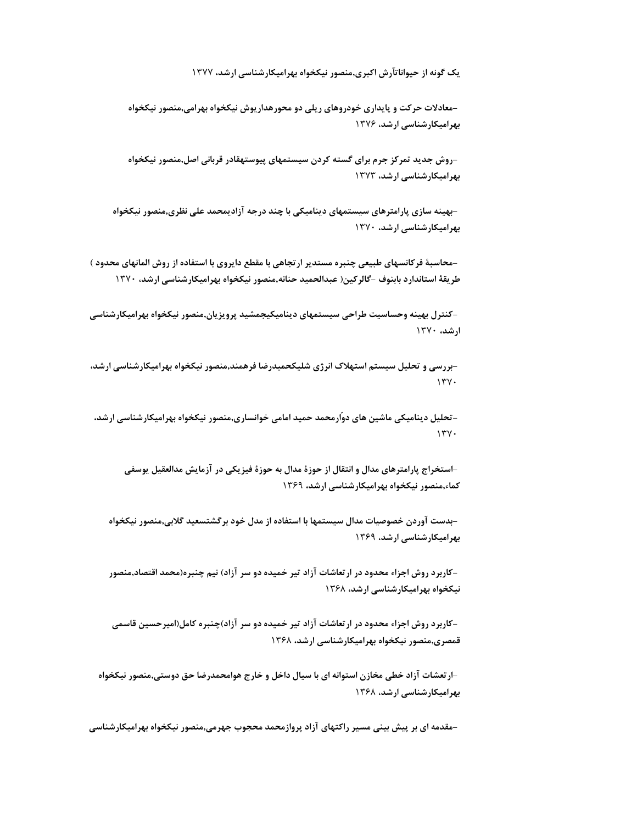**یک گونه از حیواناتآرش اکبری,منصور نیکخواه بهرامیکارشناسی ارشد،** 1377

**بهرامیکارشناسی ارشد، -**1376**معادالت حرکت <sup>و</sup> پایداری خودروهای ریلی دو محورهداریوش نیکخواه بهرامی,منصور نیکخواه**

**بهرامیکارشناسی ارشد، -**1373**روش جدید تمرکز جرم برای گسته کردن سیستمهای پیوستهقادر قربانی اصل,منصور نیکخواه**

**بهرامیکارشناسی ارشد، -**1370**بهینه سازی پارامترهای سیستمهای دینامیکی با چند درجه آزادیمحمد علی نظری,منصور نیکخواه**

–محاسبة فرکانسهای طبیعی چنبره مستدیر ارتجاهی با مقطع دایروی با استفاده از روش المانهای محدود )<br>طریقهٔ استاندارد بابنوف –گالرکین( عبدالحمید حنانه,منصور نیکخواه بهرامیکارشناسی ارشد، ۱۳۷۰

**ارشد، -**1370**کنترل بهینه وحساسیت طراحی سیستمهای دینامیکیجمشید پرویزیان,منصور نیکخواه بهرامیکارشناسی**

**-**1370**بررسی <sup>و</sup> تحلیل سیستم استهالک انرژی شلیکحمیدرضا فرهمند,منصور نیکخواه بهرامیکارشناسی ارشد،**

**-**1370**تحلیل دینامیکی ماشین های دوّارمحمد حمید امامی خوانساری,منصور نیکخواه بهرامیکارشناسی ارشد،**

**کماء,منصور نیکخواه بهرامیکارشناسی ارشد، -**1369**استخراج پارامترهای مدال <sup>و</sup> انتقال از حوزة مدال به حوزة فیزیکی در آزمایش مدالعقیل یوسفی**

**بهرامیکارشناسی ارشد، -**1369**بدست آوردن خصوصیات مدال سیستمها با استفاده از مدل خود برگشتسعید گالبی,منصور نیکخواه**

**نیکخواه بهرامیکارشناسی ارشد، -**-کاربرد روش اجزاء محدود در ارتعاشات آزاد تیر خمیده دو سر آزاد) نیم چنبره(محمد اقتصاد,منصور

**قمصری,منصور نیکخواه بهرامیکارشناسی ارشد، -**1368**کاربرد روش اجزاء محدود در ارتعاشات آزاد تیر خمیده دو سر آزاد)چنبره کامل(امیرحسین قاسمی**

**بهرامیکارشناسی ارشد، -**1368**ارتعشات آزاد خطی مخازن استوانه ای با سیال داخل <sup>و</sup> خارج هوامحمدرضا حق دوستی,منصور نیکخواه**

**-مقدمه ای بر پیش بینی مسیر راکتهای آزاد پروازمحمد محجوب جهرمی,منصور نیکخواه بهرامیکارشناسی**